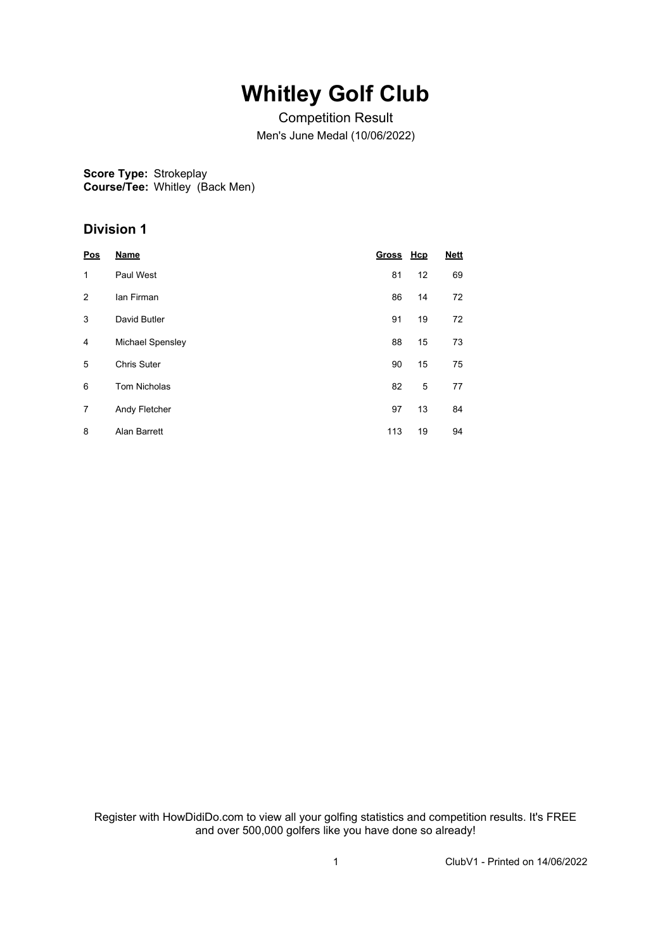## **Whitley Golf Club**

Competition Result Men's June Medal (10/06/2022)

**Score Type:** Strokeplay **Course/Tee:** Whitley (Back Men)

#### **Division 1**

| Pos | <b>Name</b>         | <b>Gross</b> | <u>Hcp</u> | <b>Nett</b> |
|-----|---------------------|--------------|------------|-------------|
| 1   | Paul West           | 81           | 12         | 69          |
| 2   | lan Firman          | 86           | 14         | 72          |
| 3   | David Butler        | 91           | 19         | 72          |
| 4   | Michael Spensley    | 88           | 15         | 73          |
| 5   | <b>Chris Suter</b>  | 90           | 15         | 75          |
| 6   | <b>Tom Nicholas</b> | 82           | 5          | 77          |
| 7   | Andy Fletcher       | 97           | 13         | 84          |
| 8   | Alan Barrett        | 113          | 19         | 94          |

Register with HowDidiDo.com to view all your golfing statistics and competition results. It's FREE and over 500,000 golfers like you have done so already!

1 ClubV1 - Printed on 14/06/2022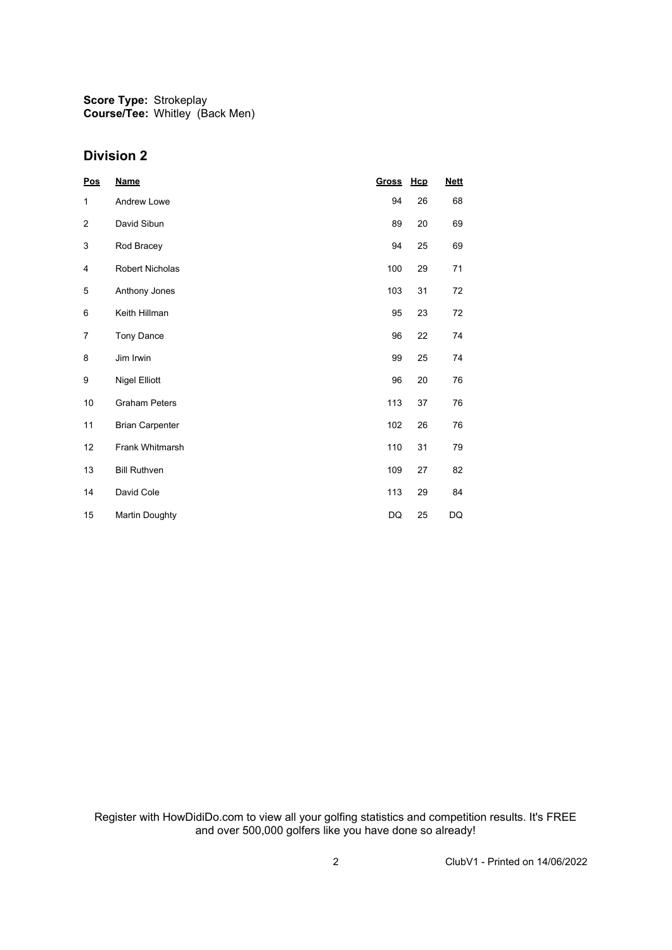**Score Type:** Strokeplay **Course/Tee:** Whitley (Back Men)

#### **Division 2**

| Pos  | <b>Name</b>            | Gross | Hcp | <b>Nett</b> |
|------|------------------------|-------|-----|-------------|
| 1    | <b>Andrew Lowe</b>     | 94    | 26  | 68          |
| 2    | David Sibun            | 89    | 20  | 69          |
| 3    | Rod Bracey             | 94    | 25  | 69          |
| 4    | <b>Robert Nicholas</b> | 100   | 29  | 71          |
| 5    | Anthony Jones          | 103   | 31  | 72          |
| 6    | Keith Hillman          | 95    | 23  | 72          |
| 7    | Tony Dance             | 96    | 22  | 74          |
| 8    | Jim Irwin              | 99    | 25  | 74          |
| 9    | <b>Nigel Elliott</b>   | 96    | 20  | 76          |
| $10$ | <b>Graham Peters</b>   | 113   | 37  | 76          |
| 11   | <b>Brian Carpenter</b> | 102   | 26  | 76          |
| 12   | Frank Whitmarsh        | 110   | 31  | 79          |
| 13   | <b>Bill Ruthven</b>    | 109   | 27  | 82          |
| 14   | David Cole             | 113   | 29  | 84          |
| 15   | <b>Martin Doughty</b>  | DQ    | 25  | DQ          |

Register with HowDidiDo.com to view all your golfing statistics and competition results. It's FREE and over 500,000 golfers like you have done so already!